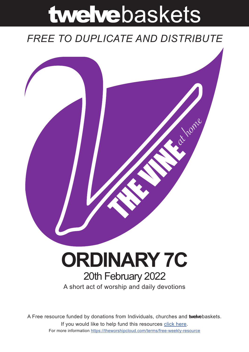# twelvebaskets

### *FREE TO DUPLICATE AND DISTRIBUTE*



## **ORDINARY 7C** 20th February 2022

A short act of worship and daily devotions

A Free resource funded by donations from Individuals, churches and **twelve**baskets. If you would like to help fund this resources click here. For more information https://theworshipcloud.com/terms/free-weekly-resource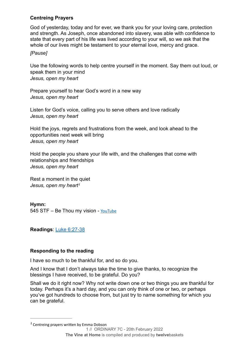#### **Centreing Prayers**

God of yesterday, today and for ever, we thank you for your loving care, protection and strength. As Joseph, once abandoned into slavery, was able with confidence to state that every part of his life was lived according to your will, so we ask that the whole of our lives might be testament to your eternal love, mercy and grace.

#### *[Pause]*

Use the following words to help centre yourself in the moment. Say them out loud, or speak them in your mind *Jesus, open my heart*

Prepare yourself to hear God's word in a new way *Jesus, open my heart*

Listen for God's voice, calling you to serve others and love radically *Jesus, open my heart*

Hold the joys, regrets and frustrations from the week, and look ahead to the opportunities next week will bring *Jesus, open my heart*

Hold the people you share your life with, and the challenges that come with relationships and friendships *Jesus, open my heart*

<span id="page-1-1"></span>Rest a moment in the quiet *Jesus, open my heart[1](#page-1-0)*

**Hymn:** 545 STF - Be Thou my vision - [YouTube](https://www.youtube.com/watch?v=34rc2WHKZ28)

**Readings**: [Luke 6:27-38](https://www.biblegateway.com/passage/?search=Luke+6:27-38&version=NRSV)

#### **Responding to the reading**

I have so much to be thankful for, and so do you.

And I know that I don't always take the time to give thanks, to recognize the blessings I have received, to be grateful. Do you?

Shall we do it right now? Why not write down one or two things you are thankful for today. Perhaps it's a hard day, and you can only think of one or two, or perhaps you've got hundreds to choose from, but just try to name something for which you can be grateful.

<span id="page-1-0"></span> Centreing prayers written by Emma Dobson *[1](#page-1-1)* 1 // ORDINARY 7C - 20th February 2022 **The Vine at Home** is compiled and produced by **twelve**baskets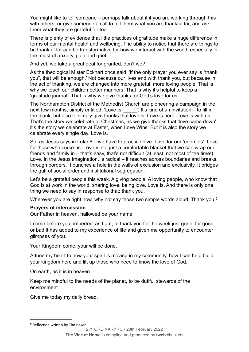You might like to tell someone – perhaps talk about it if you are working through this with others, or give someone a call to tell them what you are thankful for, and ask them what they are grateful for too.

There is plenty of evidence that little practices of gratitude make a huge difference in terms of our mental health and wellbeing. The ability to notice that there are things to be thankful for can be transformative for how we interact with the world, especially in the midst of anxiety, pain and grief.

And yet, we take a great deal for granted, don't we?

As the theological Mister Eckhart once said, 'if the only prayer you ever say is "thank you", that will be enough.' Not because our lives end with thank you, but because in the act of thanking, we are changed into more grateful, more loving people. That is why we teach our children better manners. That is why it's helpful to keep a 'gratitude journal'. That is why we give thanks for God's love for us.

The Northampton District of the Methodist Church are pioneering a campaign in the next few months, simply entitled, 'Love Is \_\_\_\_\_'. It's kind of an invitation – to fill in the blank, but also to simply give thanks that love is. Love is here. Love is with us. That's the story we celebrate at Christmas, as we give thanks that 'love came down', it's the story we celebrate at Easter, when Love Wins. But it is also the story we celebrate every single day. Love is.

So, as Jesus says in Luke 6 – we have to practice love. Love for our 'enemies'. Love for those who curse us. Love is not just a comfortable blanket that we can wrap our friends and family in – that's easy, that's not difficult (at least, not most of the time!). Love, in the Jesus imagination, is radical – it reaches across boundaries and breaks through borders. It punches a hole in the walls of exclusion and exclusivity. It bridges the gulf of social order and institutional segregation.

Let's be a grateful people this week. A giving people. A loving people, who know that God is at work in the world, sharing love, being love. Love is. And there is only one thing we need to say in response to that: thank you.

Wherever you are right now, why not say those two simple words aloud: Thank you.<sup>2</sup>

#### <span id="page-2-1"></span>**Prayers of intercession**

Our Father in heaven, hallowed be your name.

I come before you, imperfect as I am, to thank you for the week just gone; for good or bad it has added to my experience of life and given me opportunity to encounter glimpses of you.

Your Kingdom come, your will be done.

Attune my heart to how your spirit is moving in my community, how I can help build your kingdom here and lift up those who need to know the love of God.

On earth, as it is in heaven.

Keep me mindful to the needs of the planet, to be dutiful stewards of the environment.

Give me today my daily bread,

<span id="page-2-0"></span><sup>&</sup>lt;sup>[2](#page-2-1)</sup> Reflection written by Tim Baker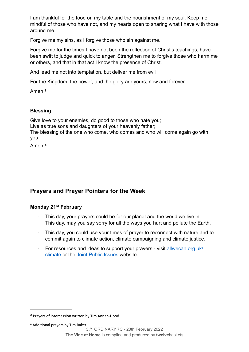I am thankful for the food on my table and the nourishment of my soul. Keep me mindful of those who have not, and my hearts open to sharing what I have with those around me.

Forgive me my sins, as I forgive those who sin against me.

Forgive me for the times I have not been the reflection of Christ's teachings, have been swift to judge and quick to anger. Strengthen me to forgive those who harm me or others, and that in that act I know the presence of Christ.

And lead me not into temptation, but deliver me from evil

For the Kingdom, the power, and the glory are yours, now and forever.

<span id="page-3-2"></span>Amen<sup>[3](#page-3-0)</sup>

#### **Blessing**

Give love to your enemies, do good to those who hate you; Live as true sons and daughters of your heavenly father; The blessing of the one who come, who comes and who will come again go with you.

<span id="page-3-3"></span>Amen.[4](#page-3-1)

#### **Prayers and Prayer Pointers for the Week**

#### **Monday 21st February**

- This day, your prayers could be for our planet and the world we live in. This day, may you say sorry for all the ways you hurt and pollute the Earth.
- This day, you could use your times of prayer to reconnect with nature and to commit again to climate action, climate campaigning and climate justice.
- For resources and ideas to support your prayers visit [allwecan.org.uk/](http://allwecan.org.uk/climate) [climate](http://allwecan.org.uk/climate) or the [Joint Public Issues](https://www.jointpublicissues.org.uk/) website.

<span id="page-3-0"></span><sup>&</sup>lt;sup>[3](#page-3-2)</sup> Prayers of intercession written by Tim Annan-Hood

<span id="page-3-1"></span><sup>&</sup>lt;sup>[4](#page-3-3)</sup> Additional prayers by Tim Baker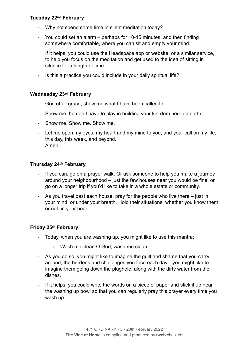#### **Tuesday 22nd February**

- Why not spend some time in silent meditation today?
- You could set an alarm perhaps for 10-15 minutes, and then finding somewhere comfortable, where you can sit and empty your mind.

If it helps, you could use the Headspace app or website, or a similar service, to help you focus on the meditation and get used to the idea of sitting in silence for a length of time.

- Is this a practice you could include in your daily spiritual life?

#### **Wednesday 23rd February**

- God of all grace, show me what I have been called to.
- Show me the role I have to play in building your kin-dom here on earth.
- Show me. Show me. Show me.
- Let me open my eyes, my heart and my mind to you, and your call on my life, this day, this week, and beyond. Amen.

#### **Thursday 24th February**

- If you can, go on a prayer walk. Or ask someone to help you make a journey around your neighbourhood – just the few houses near you would be fine, or go on a longer trip if you'd like to take in a whole estate or community.
- As you travel past each house, pray for the people who live there just in your mind, or under your breath. Hold their situations, whether you know them or not, in your heart.

#### **Friday 25th February**

- Today, when you are washing up, you might like to use this mantra:
	- o Wash me clean O God, wash me clean.
- As you do so, you might like to imagine the guilt and shame that you carry around, the burdens and challenges you face each day…you might like to imagine them going down the plughole, along with the dirty water from the dishes.
- If it helps, you could write the words on a piece of paper and stick it up near the washing up bowl so that you can regularly pray this prayer every time you wash up.